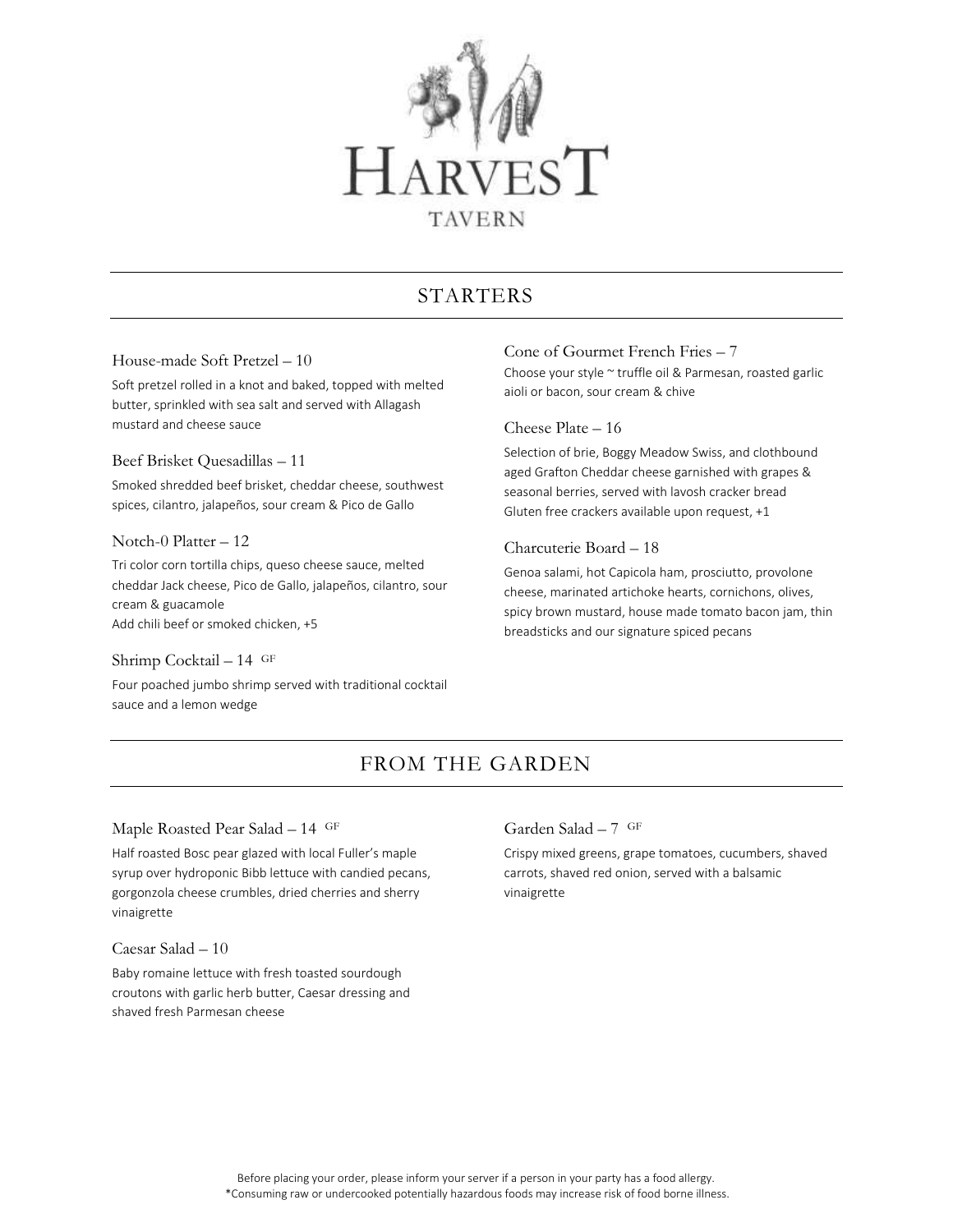

# STARTERS

## House-made Soft Pretzel – 10

Soft pretzel rolled in a knot and baked, topped with melted butter, sprinkled with sea salt and served with Allagash mustard and cheese sauce

### Beef Brisket Quesadillas – 11

Smoked shredded beef brisket, cheddar cheese, southwest spices, cilantro, jalapeños, sour cream & Pico de Gallo

### Notch-0 Platter – 12

Tri color corn tortilla chips, queso cheese sauce, melted cheddar Jack cheese, Pico de Gallo, jalapeños, cilantro, sour cream & guacamole Add chili beef or smoked chicken, +5

#### Shrimp Cocktail – 14 GF

Four poached jumbo shrimp served with traditional cocktail sauce and a lemon wedge

# Cone of Gourmet French Fries – 7

Choose your style ~ truffle oil & Parmesan, roasted garlic aioli or bacon, sour cream & chive

### Cheese Plate – 16

Selection of brie, Boggy Meadow Swiss, and clothbound aged Grafton Cheddar cheese garnished with grapes & seasonal berries, served with lavosh cracker bread Gluten free crackers available upon request, +1

# Charcuterie Board – 18

Genoa salami, hot Capicola ham, prosciutto, provolone cheese, marinated artichoke hearts, cornichons, olives, spicy brown mustard, house made tomato bacon jam, thin breadsticks and our signature spiced pecans

# FROM THE GARDEN

## Maple Roasted Pear Salad – 14 GF

Half roasted Bosc pear glazed with local Fuller's maple syrup over hydroponic Bibb lettuce with candied pecans, gorgonzola cheese crumbles, dried cherries and sherry vinaigrette

#### Caesar Salad – 10

Baby romaine lettuce with fresh toasted sourdough croutons with garlic herb butter, Caesar dressing and shaved fresh Parmesan cheese

# Garden Salad – 7 GF

Crispy mixed greens, grape tomatoes, cucumbers, shaved carrots, shaved red onion, served with a balsamic vinaigrette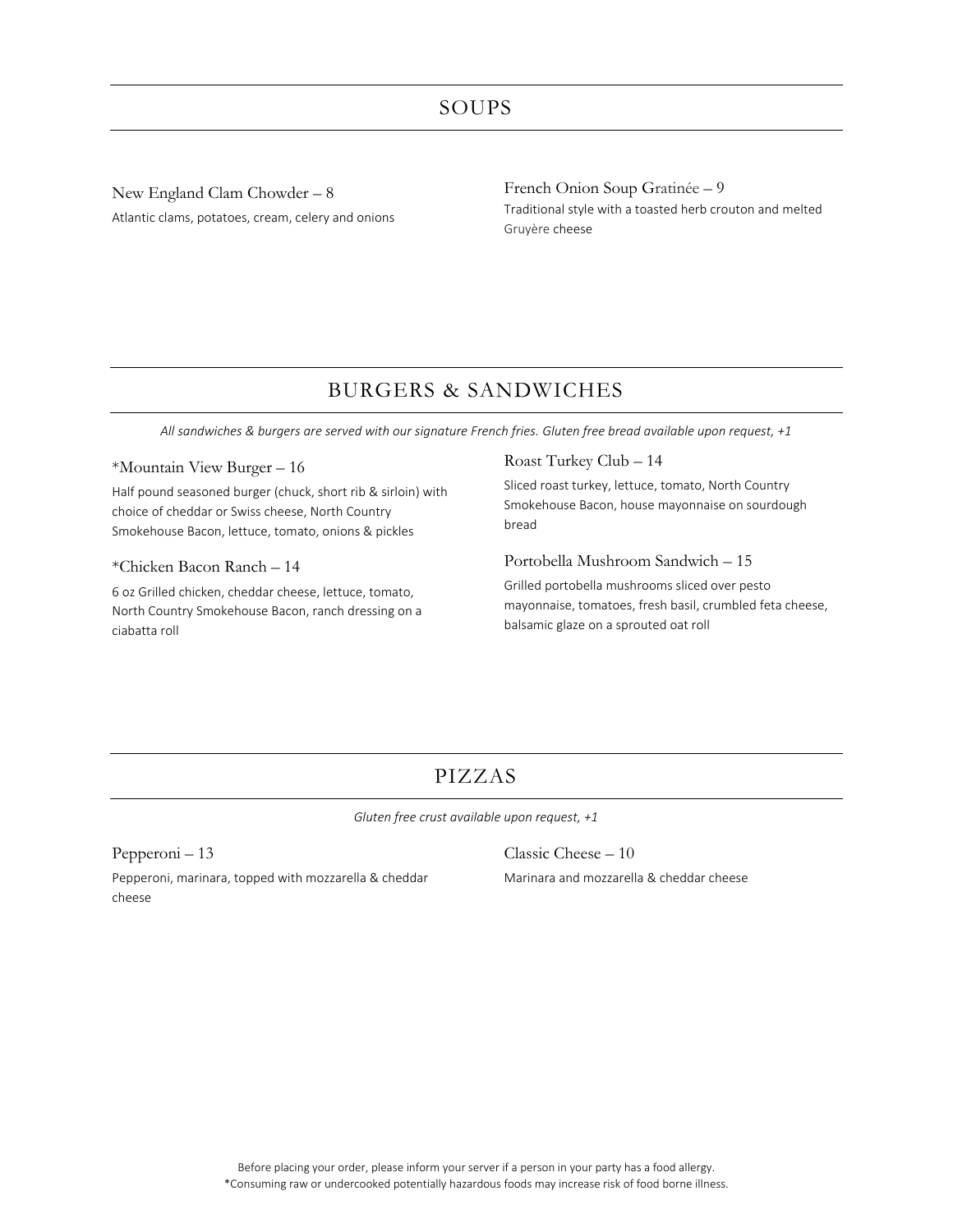New England Clam Chowder – 8 Atlantic clams, potatoes, cream, celery and onions French Onion Soup Gratinée – 9 Traditional style with a toasted herb crouton and melted Gruyère cheese

# BURGERS & SANDWICHES

*All sandwiches & burgers are served with our signature French fries. Gluten free bread available upon request, +1*

## \*Mountain View Burger – 16

Half pound seasoned burger (chuck, short rib & sirloin) with choice of cheddar or Swiss cheese, North Country Smokehouse Bacon, lettuce, tomato, onions & pickles

#### \*Chicken Bacon Ranch – 14

6 oz Grilled chicken, cheddar cheese, lettuce, tomato, North Country Smokehouse Bacon, ranch dressing on a ciabatta roll

### Roast Turkey Club – 14

Sliced roast turkey, lettuce, tomato, North Country Smokehouse Bacon, house mayonnaise on sourdough bread

## Portobella Mushroom Sandwich – 15

Grilled portobella mushrooms sliced over pesto mayonnaise, tomatoes, fresh basil, crumbled feta cheese, balsamic glaze on a sprouted oat roll

# PIZZAS

*Gluten free crust available upon request, +1*

Pepperoni – 13 Pepperoni, marinara, topped with mozzarella & cheddar cheese

Classic Cheese – 10 Marinara and mozzarella & cheddar cheese